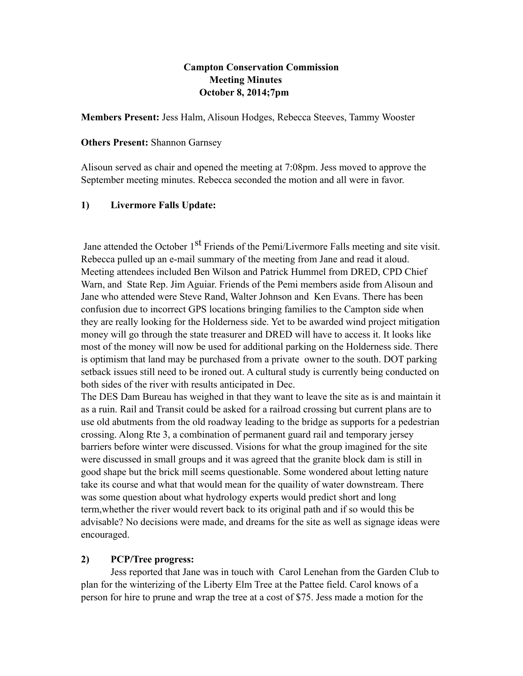### **Campton Conservation Commission Meeting Minutes October 8, 2014;7pm**

**Members Present:** Jess Halm, Alisoun Hodges, Rebecca Steeves, Tammy Wooster

#### **Others Present:** Shannon Garnsey

Alisoun served as chair and opened the meeting at 7:08pm. Jess moved to approve the September meeting minutes. Rebecca seconded the motion and all were in favor.

### **1) Livermore Falls Update:**

Jane attended the October 1<sup>st</sup> Friends of the Pemi/Livermore Falls meeting and site visit. Rebecca pulled up an e-mail summary of the meeting from Jane and read it aloud. Meeting attendees included Ben Wilson and Patrick Hummel from DRED, CPD Chief Warn, and State Rep. Jim Aguiar. Friends of the Pemi members aside from Alisoun and Jane who attended were Steve Rand, Walter Johnson and Ken Evans. There has been confusion due to incorrect GPS locations bringing families to the Campton side when they are really looking for the Holderness side. Yet to be awarded wind project mitigation money will go through the state treasurer and DRED will have to access it. It looks like most of the money will now be used for additional parking on the Holderness side. There is optimism that land may be purchased from a private owner to the south. DOT parking setback issues still need to be ironed out. A cultural study is currently being conducted on both sides of the river with results anticipated in Dec.

The DES Dam Bureau has weighed in that they want to leave the site as is and maintain it as a ruin. Rail and Transit could be asked for a railroad crossing but current plans are to use old abutments from the old roadway leading to the bridge as supports for a pedestrian crossing. Along Rte 3, a combination of permanent guard rail and temporary jersey barriers before winter were discussed. Visions for what the group imagined for the site were discussed in small groups and it was agreed that the granite block dam is still in good shape but the brick mill seems questionable. Some wondered about letting nature take its course and what that would mean for the quaility of water downstream. There was some question about what hydrology experts would predict short and long term,whether the river would revert back to its original path and if so would this be advisable? No decisions were made, and dreams for the site as well as signage ideas were encouraged.

### **2) PCP/Tree progress:**

Jess reported that Jane was in touch with Carol Lenehan from the Garden Club to plan for the winterizing of the Liberty Elm Tree at the Pattee field. Carol knows of a person for hire to prune and wrap the tree at a cost of \$75. Jess made a motion for the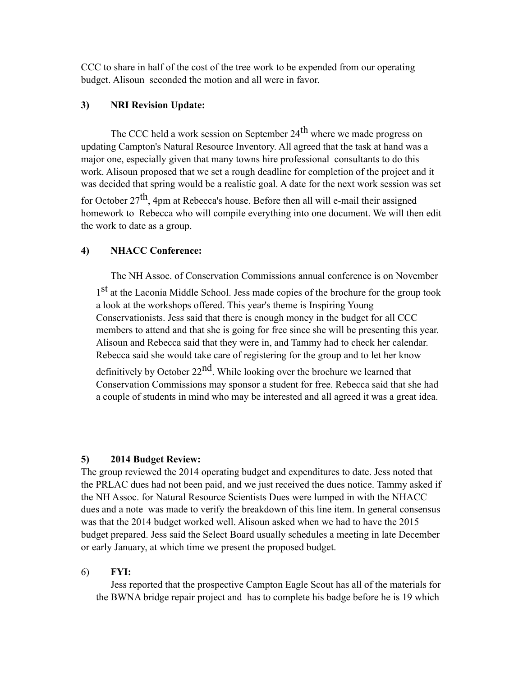CCC to share in half of the cost of the tree work to be expended from our operating budget. Alisoun seconded the motion and all were in favor.

# **3) NRI Revision Update:**

The CCC held a work session on September 24<sup>th</sup> where we made progress on updating Campton's Natural Resource Inventory. All agreed that the task at hand was a major one, especially given that many towns hire professional consultants to do this work. Alisoun proposed that we set a rough deadline for completion of the project and it was decided that spring would be a realistic goal. A date for the next work session was set for October  $27<sup>th</sup>$ , 4pm at Rebecca's house. Before then all will e-mail their assigned homework to Rebecca who will compile everything into one document. We will then edit the work to date as a group.

## **4) NHACC Conference:**

The NH Assoc. of Conservation Commissions annual conference is on November 1<sup>st</sup> at the Laconia Middle School. Jess made copies of the brochure for the group took a look at the workshops offered. This year's theme is Inspiring Young Conservationists. Jess said that there is enough money in the budget for all CCC members to attend and that she is going for free since she will be presenting this year. Alisoun and Rebecca said that they were in, and Tammy had to check her calendar. Rebecca said she would take care of registering for the group and to let her know definitively by October  $22<sup>nd</sup>$ . While looking over the brochure we learned that

Conservation Commissions may sponsor a student for free. Rebecca said that she had a couple of students in mind who may be interested and all agreed it was a great idea.

### **5) 2014 Budget Review:**

The group reviewed the 2014 operating budget and expenditures to date. Jess noted that the PRLAC dues had not been paid, and we just received the dues notice. Tammy asked if the NH Assoc. for Natural Resource Scientists Dues were lumped in with the NHACC dues and a note was made to verify the breakdown of this line item. In general consensus was that the 2014 budget worked well. Alisoun asked when we had to have the 2015 budget prepared. Jess said the Select Board usually schedules a meeting in late December or early January, at which time we present the proposed budget.

### 6) **FYI:**

Jess reported that the prospective Campton Eagle Scout has all of the materials for the BWNA bridge repair project and has to complete his badge before he is 19 which